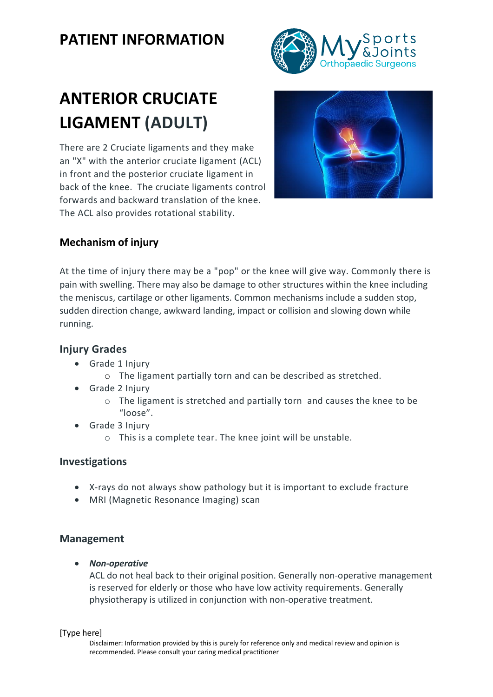## **PATIENT INFORMATION**



# **ANTERIOR CRUCIATE LIGAMENT (ADULT)**

There are 2 Cruciate ligaments and they make an "X" with the anterior cruciate ligament (ACL) in front and the posterior cruciate ligament in back of the knee. The cruciate ligaments control forwards and backward translation of the knee. The ACL also provides rotational stability.



### **Mechanism of injury**

At the time of injury there may be a "pop" or the knee will give way. Commonly there is pain with swelling. There may also be damage to other structures within the knee including the meniscus, cartilage or other ligaments. Common mechanisms include a sudden stop, sudden direction change, awkward landing, impact or collision and slowing down while running.

#### **Injury Grades**

- Grade 1 Injury
	- o The ligament partially torn and can be described as stretched.
- Grade 2 Injury
	- o The ligament is stretched and partially torn and causes the knee to be "loose".
- Grade 3 Injury
	- o This is a complete tear. The knee joint will be unstable.

#### **Investigations**

- X-rays do not always show pathology but it is important to exclude fracture
- MRI (Magnetic Resonance Imaging) scan

#### **Management**

• *Non-operative*

ACL do not heal back to their original position. Generally non-operative management is reserved for elderly or those who have low activity requirements. Generally physiotherapy is utilized in conjunction with non-operative treatment.

#### [Type here]

Disclaimer: Information provided by this is purely for reference only and medical review and opinion is recommended. Please consult your caring medical practitioner